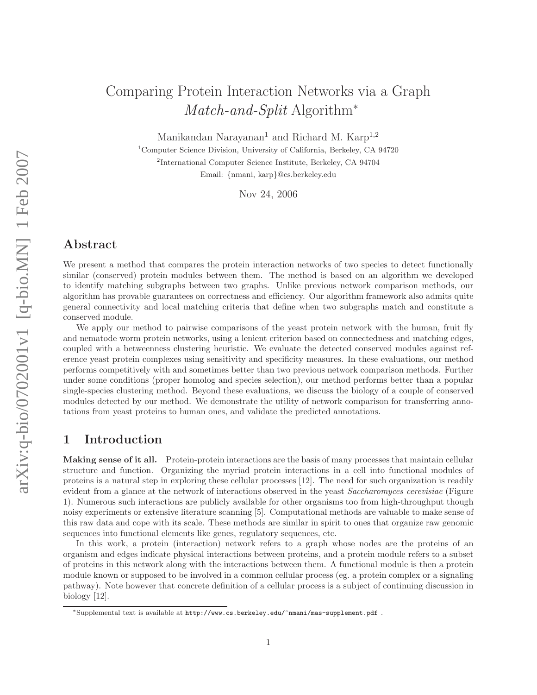# Comparing Protein Interaction Networks via a Graph Match-and-Split Algorithm<sup>\*</sup>

Manikandan Narayanan<sup>1</sup> and Richard M. Karp<sup>1,2</sup>

<sup>1</sup>Computer Science Division, University of California, Berkeley, CA 94720 2 International Computer Science Institute, Berkeley, CA 94704 Email: {nmani, karp}@cs.berkeley.edu

Nov 24, 2006

### Abstract

We present a method that compares the protein interaction networks of two species to detect functionally similar (conserved) protein modules between them. The method is based on an algorithm we developed to identify matching subgraphs between two graphs. Unlike previous network comparison methods, our algorithm has provable guarantees on correctness and efficiency. Our algorithm framework also admits quite general connectivity and local matching criteria that define when two subgraphs match and constitute a conserved module.

We apply our method to pairwise comparisons of the yeast protein network with the human, fruit fly and nematode worm protein networks, using a lenient criterion based on connectedness and matching edges, coupled with a betweenness clustering heuristic. We evaluate the detected conserved modules against reference yeast protein complexes using sensitivity and specificity measures. In these evaluations, our method performs competitively with and sometimes better than two previous network comparison methods. Further under some conditions (proper homolog and species selection), our method performs better than a popular single-species clustering method. Beyond these evaluations, we discuss the biology of a couple of conserved modules detected by our method. We demonstrate the utility of network comparison for transferring annotations from yeast proteins to human ones, and validate the predicted annotations.

# 1 Introduction

Making sense of it all. Protein-protein interactions are the basis of many processes that maintain cellular structure and function. Organizing the myriad protein interactions in a cell into functional modules of proteins is a natural step in exploring these cellular processes [12]. The need for such organization is readily evident from a glance at the network of interactions observed in the yeast *Saccharomyces cerevisiae* (Figure 1). Numerous such interactions are publicly available for other organisms too from high-throughput though noisy experiments or extensive literature scanning [5]. Computational methods are valuable to make sense of this raw data and cope with its scale. These methods are similar in spirit to ones that organize raw genomic sequences into functional elements like genes, regulatory sequences, etc.

In this work, a protein (interaction) network refers to a graph whose nodes are the proteins of an organism and edges indicate physical interactions between proteins, and a protein module refers to a subset of proteins in this network along with the interactions between them. A functional module is then a protein module known or supposed to be involved in a common cellular process (eg. a protein complex or a signaling pathway). Note however that concrete definition of a cellular process is a subject of continuing discussion in biology [12].

<sup>∗</sup>Supplemental text is available at http://www.cs.berkeley.edu/~nmani/mas-supplement.pdf .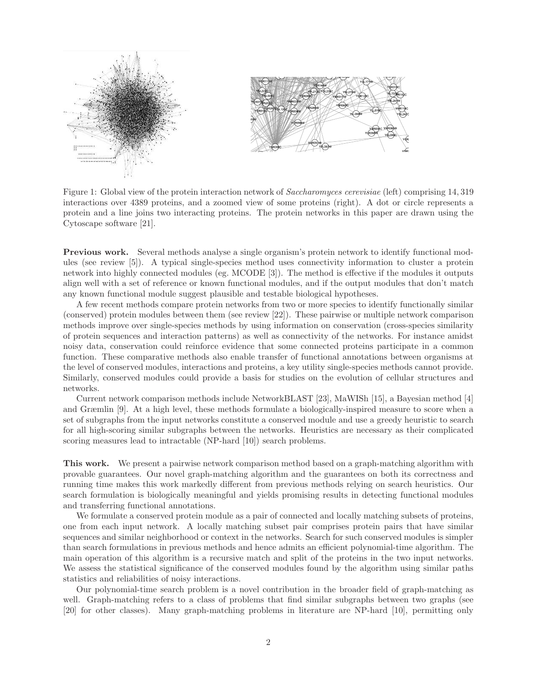

Figure 1: Global view of the protein interaction network of *Saccharomyces cerevisiae* (left) comprising 14, 319 interactions over 4389 proteins, and a zoomed view of some proteins (right). A dot or circle represents a protein and a line joins two interacting proteins. The protein networks in this paper are drawn using the Cytoscape software [21].

Previous work. Several methods analyse a single organism's protein network to identify functional modules (see review [5]). A typical single-species method uses connectivity information to cluster a protein network into highly connected modules (eg. MCODE [3]). The method is effective if the modules it outputs align well with a set of reference or known functional modules, and if the output modules that don't match any known functional module suggest plausible and testable biological hypotheses.

A few recent methods compare protein networks from two or more species to identify functionally similar (conserved) protein modules between them (see review [22]). These pairwise or multiple network comparison methods improve over single-species methods by using information on conservation (cross-species similarity of protein sequences and interaction patterns) as well as connectivity of the networks. For instance amidst noisy data, conservation could reinforce evidence that some connected proteins participate in a common function. These comparative methods also enable transfer of functional annotations between organisms at the level of conserved modules, interactions and proteins, a key utility single-species methods cannot provide. Similarly, conserved modules could provide a basis for studies on the evolution of cellular structures and networks.

Current network comparison methods include NetworkBLAST [23], MaWISh [15], a Bayesian method [4] and Græmlin [9]. At a high level, these methods formulate a biologically-inspired measure to score when a set of subgraphs from the input networks constitute a conserved module and use a greedy heuristic to search for all high-scoring similar subgraphs between the networks. Heuristics are necessary as their complicated scoring measures lead to intractable (NP-hard [10]) search problems.

This work. We present a pairwise network comparison method based on a graph-matching algorithm with provable guarantees. Our novel graph-matching algorithm and the guarantees on both its correctness and running time makes this work markedly different from previous methods relying on search heuristics. Our search formulation is biologically meaningful and yields promising results in detecting functional modules and transferring functional annotations.

We formulate a conserved protein module as a pair of connected and locally matching subsets of proteins, one from each input network. A locally matching subset pair comprises protein pairs that have similar sequences and similar neighborhood or context in the networks. Search for such conserved modules is simpler than search formulations in previous methods and hence admits an efficient polynomial-time algorithm. The main operation of this algorithm is a recursive match and split of the proteins in the two input networks. We assess the statistical significance of the conserved modules found by the algorithm using similar paths statistics and reliabilities of noisy interactions.

Our polynomial-time search problem is a novel contribution in the broader field of graph-matching as well. Graph-matching refers to a class of problems that find similar subgraphs between two graphs (see [20] for other classes). Many graph-matching problems in literature are NP-hard [10], permitting only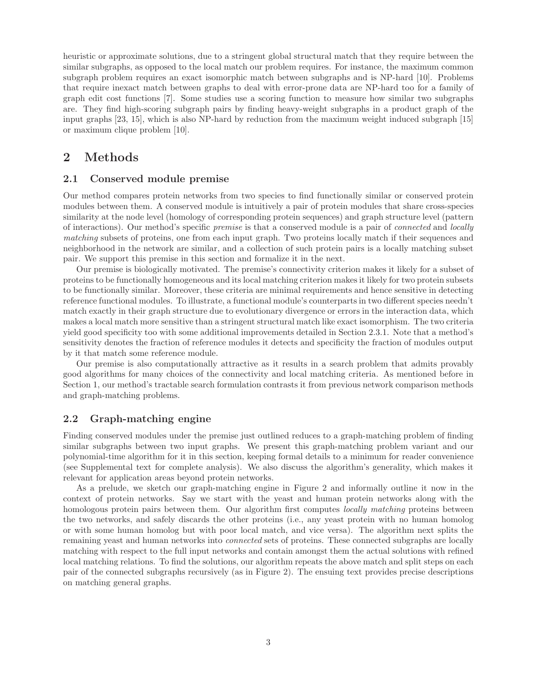heuristic or approximate solutions, due to a stringent global structural match that they require between the similar subgraphs, as opposed to the local match our problem requires. For instance, the maximum common subgraph problem requires an exact isomorphic match between subgraphs and is NP-hard [10]. Problems that require inexact match between graphs to deal with error-prone data are NP-hard too for a family of graph edit cost functions [7]. Some studies use a scoring function to measure how similar two subgraphs are. They find high-scoring subgraph pairs by finding heavy-weight subgraphs in a product graph of the input graphs [23, 15], which is also NP-hard by reduction from the maximum weight induced subgraph [15] or maximum clique problem [10].

### 2 Methods

### 2.1 Conserved module premise

Our method compares protein networks from two species to find functionally similar or conserved protein modules between them. A conserved module is intuitively a pair of protein modules that share cross-species similarity at the node level (homology of corresponding protein sequences) and graph structure level (pattern of interactions). Our method's specific *premise* is that a conserved module is a pair of *connected* and *locally matching* subsets of proteins, one from each input graph. Two proteins locally match if their sequences and neighborhood in the network are similar, and a collection of such protein pairs is a locally matching subset pair. We support this premise in this section and formalize it in the next.

Our premise is biologically motivated. The premise's connectivity criterion makes it likely for a subset of proteins to be functionally homogeneous and its local matching criterion makes it likely for two protein subsets to be functionally similar. Moreover, these criteria are minimal requirements and hence sensitive in detecting reference functional modules. To illustrate, a functional module's counterparts in two different species needn't match exactly in their graph structure due to evolutionary divergence or errors in the interaction data, which makes a local match more sensitive than a stringent structural match like exact isomorphism. The two criteria yield good specificity too with some additional improvements detailed in Section 2.3.1. Note that a method's sensitivity denotes the fraction of reference modules it detects and specificity the fraction of modules output by it that match some reference module.

Our premise is also computationally attractive as it results in a search problem that admits provably good algorithms for many choices of the connectivity and local matching criteria. As mentioned before in Section 1, our method's tractable search formulation contrasts it from previous network comparison methods and graph-matching problems.

### 2.2 Graph-matching engine

Finding conserved modules under the premise just outlined reduces to a graph-matching problem of finding similar subgraphs between two input graphs. We present this graph-matching problem variant and our polynomial-time algorithm for it in this section, keeping formal details to a minimum for reader convenience (see Supplemental text for complete analysis). We also discuss the algorithm's generality, which makes it relevant for application areas beyond protein networks.

As a prelude, we sketch our graph-matching engine in Figure 2 and informally outline it now in the context of protein networks. Say we start with the yeast and human protein networks along with the homologous protein pairs between them. Our algorithm first computes *locally matching* proteins between the two networks, and safely discards the other proteins (i.e., any yeast protein with no human homolog or with some human homolog but with poor local match, and vice versa). The algorithm next splits the remaining yeast and human networks into *connected* sets of proteins. These connected subgraphs are locally matching with respect to the full input networks and contain amongst them the actual solutions with refined local matching relations. To find the solutions, our algorithm repeats the above match and split steps on each pair of the connected subgraphs recursively (as in Figure 2). The ensuing text provides precise descriptions on matching general graphs.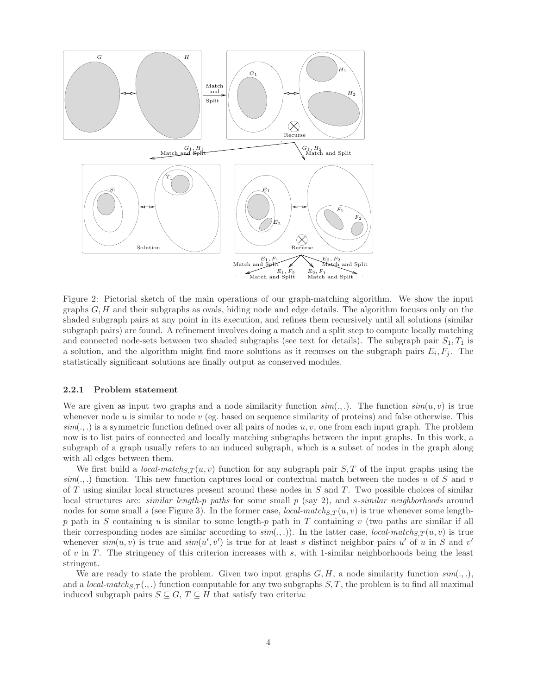

Figure 2: Pictorial sketch of the main operations of our graph-matching algorithm. We show the input graphs  $G, H$  and their subgraphs as ovals, hiding node and edge details. The algorithm focuses only on the shaded subgraph pairs at any point in its execution, and refines them recursively until all solutions (similar subgraph pairs) are found. A refinement involves doing a match and a split step to compute locally matching and connected node-sets between two shaded subgraphs (see text for details). The subgraph pair  $S_1, T_1$  is a solution, and the algorithm might find more solutions as it recurses on the subgraph pairs  $E_i, F_j$ . The statistically significant solutions are finally output as conserved modules.

#### 2.2.1 Problem statement

We are given as input two graphs and a node similarity function  $\text{sim}(.,.)$ . The function  $\text{sim}(u, v)$  is true whenever node  $u$  is similar to node  $v$  (eg. based on sequence similarity of proteins) and false otherwise. This  $sim(.,.)$  is a symmetric function defined over all pairs of nodes  $u, v$ , one from each input graph. The problem now is to list pairs of connected and locally matching subgraphs between the input graphs. In this work, a subgraph of a graph usually refers to an induced subgraph, which is a subset of nodes in the graph along with all edges between them.

We first build a *local-match*<sub>S,T</sub> $(u, v)$  function for any subgraph pair S,T of the input graphs using the  $sim(.,.)$  function. This new function captures local or contextual match between the nodes u of S and v of  $T$  using similar local structures present around these nodes in  $S$  and  $T$ . Two possible choices of similar local structures are: *similar length-*p *paths* for some small p (say 2), and s*-similar neighborhoods* around nodes for some small s (see Figure 3). In the former case,  $local-match_{S,T}(u, v)$  is true whenever some lengthp path in S containing u is similar to some length-p path in T containing v (two paths are similar if all their corresponding nodes are similar according to  $\text{sim}(.,.)$ ). In the latter case, *local-match*<sub>S,T</sub> $(u, v)$  is true whenever  $\overline{sim}(u, v)$  is true and  $\overline{sim}(u', v')$  is true for at least s distinct neighbor pairs u' of u in S and v' of v in T. The stringency of this criterion increases with s, with 1-similar neighborhoods being the least stringent.

We are ready to state the problem. Given two input graphs  $G, H$ , a node similarity function  $sim(., .),$ and a *local-match<sub>S,T</sub>*(...) function computable for any two subgraphs  $S, T$ , the problem is to find all maximal induced subgraph pairs  $S \subseteq G$ ,  $T \subseteq H$  that satisfy two criteria: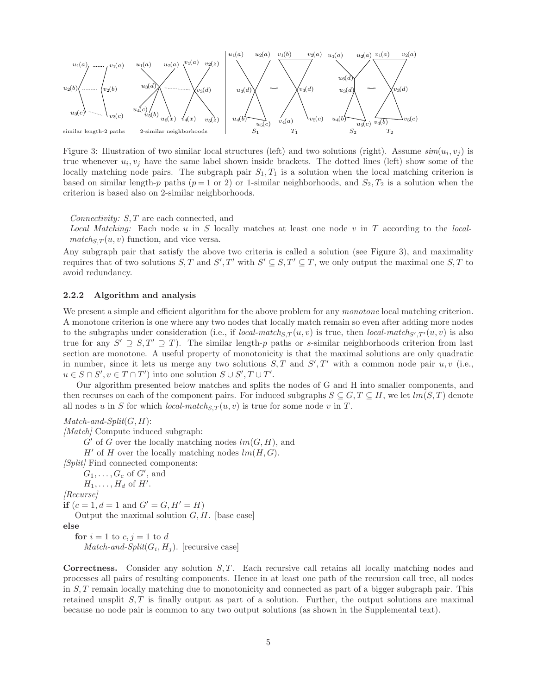

Figure 3: Illustration of two similar local structures (left) and two solutions (right). Assume  $\text{sim}(u_i, v_j)$  is true whenever  $u_i, v_j$  have the same label shown inside brackets. The dotted lines (left) show some of the locally matching node pairs. The subgraph pair  $S_1, T_1$  is a solution when the local matching criterion is based on similar length-p paths ( $p = 1$  or 2) or 1-similar neighborhoods, and  $S_2, T_2$  is a solution when the criterion is based also on 2-similar neighborhoods.

*Connectivity:* S, T are each connected, and

*Local Matching:* Each node u in S locally matches at least one node v in T according to the *local* $match_{S,T}(u, v)$  function, and vice versa.

Any subgraph pair that satisfy the above two criteria is called a solution (see Figure 3), and maximality requires that of two solutions  $S, T$  and  $S', T'$  with  $S' \subseteq S, T' \subseteq T$ , we only output the maximal one  $S, T$  to avoid redundancy.

#### 2.2.2 Algorithm and analysis

We present a simple and efficient algorithm for the above problem for any *monotone* local matching criterion. A monotone criterion is one where any two nodes that locally match remain so even after adding more nodes to the subgraphs under consideration (i.e., if  $local-match_{S,T}(u, v)$  is true, then  $local-match_{S',T'}(u, v)$  is also true for any  $S' \supseteq S, T' \supseteq T$ ). The similar length-p paths or s-similar neighborhoods criterion from last section are monotone. A useful property of monotonicity is that the maximal solutions are only quadratic in number, since it lets us merge any two solutions  $S, T$  and  $S', T'$  with a common node pair u, v (i.e.,  $u \in S \cap S', v \in T \cap T'$  into one solution  $S \cup S', T \cup T'$ .

Our algorithm presented below matches and splits the nodes of G and H into smaller components, and then recurses on each of the component pairs. For induced subgraphs  $S \subseteq G, T \subseteq H$ , we let  $lm(S, T)$  denote all nodes u in S for which *local-match* $S(T(u, v)$  is true for some node v in T.

*Match-and-Split*(G, H):

*[Match]* Compute induced subgraph:

 $G'$  of G over the locally matching nodes  $lm(G, H)$ , and

 $H'$  of H over the locally matching nodes  $lm(H, G)$ .

*[Split]* Find connected components:

 $G_1, \ldots, G_c$  of  $G'$ , and  $H_1, \ldots, H_d$  of  $H'$ . *[Recurse]* if  $(c = 1, d = 1 \text{ and } G' = G, H' = H)$ Output the maximal solution  $G, H$ . [base case] else

for  $i = 1$  to  $c, j = 1$  to d  $Match-and-Split (G<sub>i</sub>, H<sub>j</sub>)$ . [recursive case]

**Correctness.** Consider any solution  $S, T$ . Each recursive call retains all locally matching nodes and processes all pairs of resulting components. Hence in at least one path of the recursion call tree, all nodes in S, T remain locally matching due to monotonicity and connected as part of a bigger subgraph pair. This retained unsplit  $S, T$  is finally output as part of a solution. Further, the output solutions are maximal because no node pair is common to any two output solutions (as shown in the Supplemental text).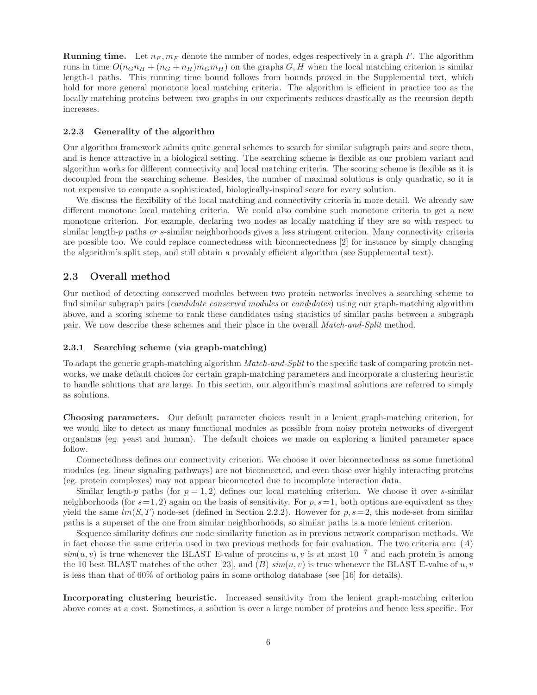**Running time.** Let  $n_F, m_F$  denote the number of nodes, edges respectively in a graph F. The algorithm runs in time  $O(n_G n_H + (n_G + n_H)m_G m_H)$  on the graphs G, H when the local matching criterion is similar length-1 paths. This running time bound follows from bounds proved in the Supplemental text, which hold for more general monotone local matching criteria. The algorithm is efficient in practice too as the locally matching proteins between two graphs in our experiments reduces drastically as the recursion depth increases.

#### 2.2.3 Generality of the algorithm

Our algorithm framework admits quite general schemes to search for similar subgraph pairs and score them, and is hence attractive in a biological setting. The searching scheme is flexible as our problem variant and algorithm works for different connectivity and local matching criteria. The scoring scheme is flexible as it is decoupled from the searching scheme. Besides, the number of maximal solutions is only quadratic, so it is not expensive to compute a sophisticated, biologically-inspired score for every solution.

We discuss the flexibility of the local matching and connectivity criteria in more detail. We already saw different monotone local matching criteria. We could also combine such monotone criteria to get a new monotone criterion. For example, declaring two nodes as locally matching if they are so with respect to similar length-p paths *or* s-similar neighborhoods gives a less stringent criterion. Many connectivity criteria are possible too. We could replace connectedness with biconnectedness [2] for instance by simply changing the algorithm's split step, and still obtain a provably efficient algorithm (see Supplemental text).

### 2.3 Overall method

Our method of detecting conserved modules between two protein networks involves a searching scheme to find similar subgraph pairs (*candidate conserved modules* or *candidates*) using our graph-matching algorithm above, and a scoring scheme to rank these candidates using statistics of similar paths between a subgraph pair. We now describe these schemes and their place in the overall *Match-and-Split* method.

#### 2.3.1 Searching scheme (via graph-matching)

To adapt the generic graph-matching algorithm *Match-and-Split* to the specific task of comparing protein networks, we make default choices for certain graph-matching parameters and incorporate a clustering heuristic to handle solutions that are large. In this section, our algorithm's maximal solutions are referred to simply as solutions.

Choosing parameters. Our default parameter choices result in a lenient graph-matching criterion, for we would like to detect as many functional modules as possible from noisy protein networks of divergent organisms (eg. yeast and human). The default choices we made on exploring a limited parameter space follow.

Connectedness defines our connectivity criterion. We choose it over biconnectedness as some functional modules (eg. linear signaling pathways) are not biconnected, and even those over highly interacting proteins (eg. protein complexes) may not appear biconnected due to incomplete interaction data.

Similar length-p paths (for  $p = 1, 2$ ) defines our local matching criterion. We choose it over s-similar neighborhoods (for  $s = 1, 2$ ) again on the basis of sensitivity. For  $p, s = 1$ , both options are equivalent as they yield the same  $lm(S, T)$  node-set (defined in Section 2.2.2). However for  $p, s = 2$ , this node-set from similar paths is a superset of the one from similar neighborhoods, so similar paths is a more lenient criterion.

Sequence similarity defines our node similarity function as in previous network comparison methods. We in fact choose the same criteria used in two previous methods for fair evaluation. The two criteria are:  $(A)$  $sim(u, v)$  is true whenever the BLAST E-value of proteins u, v is at most  $10^{-7}$  and each protein is among the 10 best BLAST matches of the other [23], and  $(B)$   $\text{sim}(u, v)$  is true whenever the BLAST E-value of  $u, v$ is less than that of 60% of ortholog pairs in some ortholog database (see [16] for details).

Incorporating clustering heuristic. Increased sensitivity from the lenient graph-matching criterion above comes at a cost. Sometimes, a solution is over a large number of proteins and hence less specific. For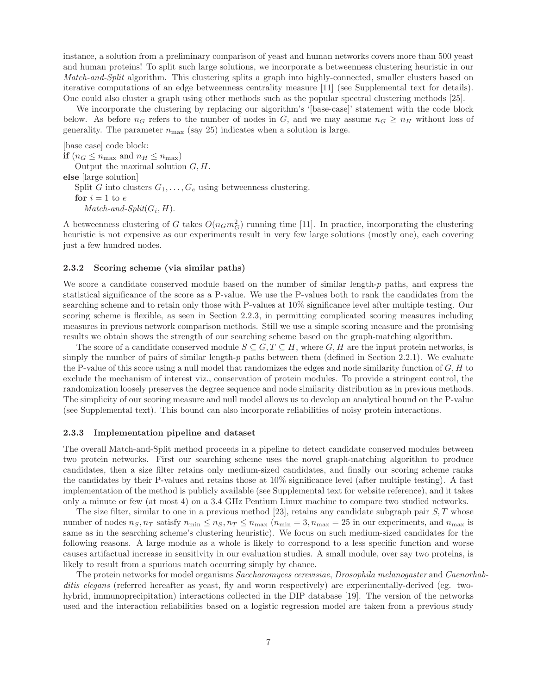instance, a solution from a preliminary comparison of yeast and human networks covers more than 500 yeast and human proteins! To split such large solutions, we incorporate a betweenness clustering heuristic in our *Match-and-Split* algorithm. This clustering splits a graph into highly-connected, smaller clusters based on iterative computations of an edge betweenness centrality measure [11] (see Supplemental text for details). One could also cluster a graph using other methods such as the popular spectral clustering methods [25].

We incorporate the clustering by replacing our algorithm's '[base-case]' statement with the code block below. As before  $n_G$  refers to the number of nodes in G, and we may assume  $n_G \geq n_H$  without loss of generality. The parameter  $n_{\text{max}}$  (say 25) indicates when a solution is large.

[base case] code block: if  $(n_G \leq n_{\text{max}} \text{ and } n_H \leq n_{\text{max}})$ Output the maximal solution  $G, H$ . else [large solution] Split G into clusters  $G_1, \ldots, G_e$  using betweenness clustering. for  $i = 1$  to  $e$  $Match-and-Split(G<sub>i</sub>, H).$ 

A betweenness clustering of G takes  $O(n_G m_G^2)$  running time [11]. In practice, incorporating the clustering heuristic is not expensive as our experiments result in very few large solutions (mostly one), each covering just a few hundred nodes.

#### 2.3.2 Scoring scheme (via similar paths)

We score a candidate conserved module based on the number of similar length-p paths, and express the statistical significance of the score as a P-value. We use the P-values both to rank the candidates from the searching scheme and to retain only those with P-values at 10% significance level after multiple testing. Our scoring scheme is flexible, as seen in Section 2.2.3, in permitting complicated scoring measures including measures in previous network comparison methods. Still we use a simple scoring measure and the promising results we obtain shows the strength of our searching scheme based on the graph-matching algorithm.

The score of a candidate conserved module  $S \subseteq G, T \subseteq H$ , where  $G, H$  are the input protein networks, is simply the number of pairs of similar length- $p$  paths between them (defined in Section 2.2.1). We evaluate the P-value of this score using a null model that randomizes the edges and node similarity function of  $G, H$  to exclude the mechanism of interest viz., conservation of protein modules. To provide a stringent control, the randomization loosely preserves the degree sequence and node similarity distribution as in previous methods. The simplicity of our scoring measure and null model allows us to develop an analytical bound on the P-value (see Supplemental text). This bound can also incorporate reliabilities of noisy protein interactions.

#### 2.3.3 Implementation pipeline and dataset

The overall Match-and-Split method proceeds in a pipeline to detect candidate conserved modules between two protein networks. First our searching scheme uses the novel graph-matching algorithm to produce candidates, then a size filter retains only medium-sized candidates, and finally our scoring scheme ranks the candidates by their P-values and retains those at 10% significance level (after multiple testing). A fast implementation of the method is publicly available (see Supplemental text for website reference), and it takes only a minute or few (at most 4) on a 3.4 GHz Pentium Linux machine to compare two studied networks.

The size filter, similar to one in a previous method [23], retains any candidate subgraph pair  $S, T$  whose number of nodes  $n_S, n_T$  satisfy  $n_{\min} \le n_S, n_T \le n_{\max}$  ( $n_{\min} = 3, n_{\max} = 25$  in our experiments, and  $n_{\max}$  is same as in the searching scheme's clustering heuristic). We focus on such medium-sized candidates for the following reasons. A large module as a whole is likely to correspond to a less specific function and worse causes artifactual increase in sensitivity in our evaluation studies. A small module, over say two proteins, is likely to result from a spurious match occurring simply by chance.

The protein networks for model organisms *Saccharomyces cerevisiae*, *Drosophila melanogaster* and *Caenorhab*ditis elegans (referred hereafter as yeast, fly and worm respectively) are experimentally-derived (eg. twohybrid, immunoprecipitation) interactions collected in the DIP database [19]. The version of the networks used and the interaction reliabilities based on a logistic regression model are taken from a previous study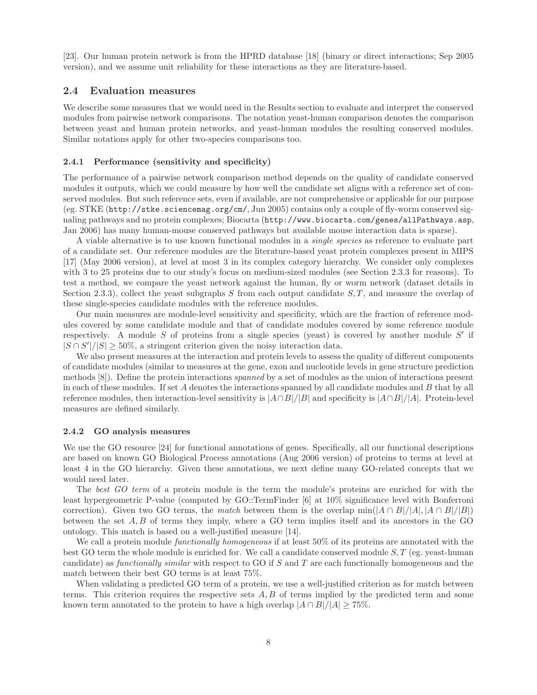[23]. Our human protein network is from the HPRD database [18] (binary or direct interactions; Sep 2005 version), and we assume unit reliability for these interactions as they are literature-based.

### 2.4 Evaluation measures

We describe some measures that we would need in the Results section to evaluate and interpret the conserved modules from pairwise network comparisons. The notation yeast-human comparison denotes the comparison between yeast and human protein networks, and yeast-human modules the resulting conserved modules. Similar notations apply for other two-species comparisons too.

#### 2.4.1 Performance (sensitivity and specificity)

The performance of a pairwise network comparison method depends on the quality of candidate conserved modules it outputs, which we could measure by how well the candidate set aligns with a reference set of conserved modules. But such reference sets, even if available, are not comprehensive or applicable for our purpose (eg. STKE (http://stke.sciencemag.org/cm/, Jun 2005) contains only a couple of fly-worm conserved signaling pathways and no protein complexes; Biocarta (http://www.biocarta.com/genes/allPathways.asp, Jan 2006) has many human-mouse conserved pathways but available mouse interaction data is sparse).

A viable alternative is to use known functional modules in a *single species* as reference to evaluate part of a candidate set. Our reference modules are the literature-based yeast protein complexes present in MIPS [17] (May 2006 version), at level at most 3 in its complex category hierarchy. We consider only complexes with 3 to 25 proteins due to our study's focus on medium-sized modules (see Section 2.3.3 for reasons). To test a method, we compare the yeast network against the human, fly or worm network (dataset details in Section 2.3.3), collect the yeast subgraphs S from each output candidate  $S, T$ , and measure the overlap of these single-species candidate modules with the reference modules.

Our main measures are module-level sensitivity and specificity, which are the fraction of reference modules covered by some candidate module and that of candidate modules covered by some reference module respectively. A module S of proteins from a single species (yeast) is covered by another module S' if  $|S \cap S'|/|S| \geq 50\%$ , a stringent criterion given the noisy interaction data.

We also present measures at the interaction and protein levels to assess the quality of different components of candidate modules (similar to measures at the gene, exon and nucleotide levels in gene structure prediction methods [8]). Define the protein interactions *spanned* by a set of modules as the union of interactions present in each of these modules. If set A denotes the interactions spanned by all candidate modules and B that by all reference modules, then interaction-level sensitivity is  $|A \cap B|/|B|$  and specificity is  $|A \cap B|/|A|$ . Protein-level measures are defined similarly.

#### 2.4.2 GO analysis measures

We use the GO resource [24] for functional annotations of genes. Specifically, all our functional descriptions are based on known GO Biological Process annotations (Aug 2006 version) of proteins to terms at level at least 4 in the GO hierarchy. Given these annotations, we next define many GO-related concepts that we would need later.

The *best GO term* of a protein module is the term the module's proteins are enriched for with the least hypergeometric P-value (computed by GO::TermFinder [6] at 10% significance level with Bonferroni correction). Given two GO terms, the *match* between them is the overlap min( $|A \cap B|/|A|$ ,  $|A \cap B|/|B|$ ) between the set  $A, B$  of terms they imply, where a GO term implies itself and its ancestors in the GO ontology. This match is based on a well-justified measure [14].

We call a protein module *functionally homogeneous* if at least 50% of its proteins are annotated with the best GO term the whole module is enriched for. We call a candidate conserved module  $S, T$  (eg. yeast-human candidate) as *functionally similar* with respect to GO if S and T are each functionally homogeneous and the match between their best GO terms is at least 75%.

When validating a predicted GO term of a protein, we use a well-justified criterion as for match between terms. This criterion requires the respective sets  $A, B$  of terms implied by the predicted term and some known term annotated to the protein to have a high overlap  $|A \cap B|/|A| \ge 75\%$ .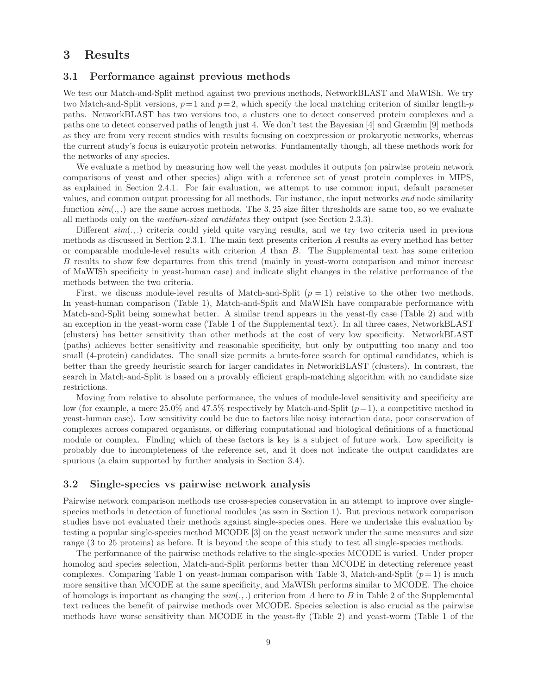## 3 Results

### 3.1 Performance against previous methods

We test our Match-and-Split method against two previous methods, NetworkBLAST and MaWISh. We try two Match-and-Split versions,  $p=1$  and  $p=2$ , which specify the local matching criterion of similar length-p paths. NetworkBLAST has two versions too, a clusters one to detect conserved protein complexes and a paths one to detect conserved paths of length just 4. We don't test the Bayesian [4] and Græmlin [9] methods as they are from very recent studies with results focusing on coexpression or prokaryotic networks, whereas the current study's focus is eukaryotic protein networks. Fundamentally though, all these methods work for the networks of any species.

We evaluate a method by measuring how well the yeast modules it outputs (on pairwise protein network comparisons of yeast and other species) align with a reference set of yeast protein complexes in MIPS, as explained in Section 2.4.1. For fair evaluation, we attempt to use common input, default parameter values, and common output processing for all methods. For instance, the input networks *and* node similarity function  $sim(.,.)$  are the same across methods. The 3, 25 size filter thresholds are same too, so we evaluate all methods only on the *medium-sized candidates* they output (see Section 2.3.3).

Different  $sim(.,.)$  criteria could yield quite varying results, and we try two criteria used in previous methods as discussed in Section 2.3.1. The main text presents criterion A results as every method has better or comparable module-level results with criterion A than B. The Supplemental text has some criterion B results to show few departures from this trend (mainly in yeast-worm comparison and minor increase of MaWISh specificity in yeast-human case) and indicate slight changes in the relative performance of the methods between the two criteria.

First, we discuss module-level results of Match-and-Split  $(p = 1)$  relative to the other two methods. In yeast-human comparison (Table 1), Match-and-Split and MaWISh have comparable performance with Match-and-Split being somewhat better. A similar trend appears in the yeast-fly case (Table 2) and with an exception in the yeast-worm case (Table 1 of the Supplemental text). In all three cases, NetworkBLAST (clusters) has better sensitivity than other methods at the cost of very low specificity. NetworkBLAST (paths) achieves better sensitivity and reasonable specificity, but only by outputting too many and too small (4-protein) candidates. The small size permits a brute-force search for optimal candidates, which is better than the greedy heuristic search for larger candidates in NetworkBLAST (clusters). In contrast, the search in Match-and-Split is based on a provably efficient graph-matching algorithm with no candidate size restrictions.

Moving from relative to absolute performance, the values of module-level sensitivity and specificity are low (for example, a mere  $25.0\%$  and  $47.5\%$  respectively by Match-and-Split  $(p=1)$ , a competitive method in yeast-human case). Low sensitivity could be due to factors like noisy interaction data, poor conservation of complexes across compared organisms, or differing computational and biological definitions of a functional module or complex. Finding which of these factors is key is a subject of future work. Low specificity is probably due to incompleteness of the reference set, and it does not indicate the output candidates are spurious (a claim supported by further analysis in Section 3.4).

### 3.2 Single-species vs pairwise network analysis

Pairwise network comparison methods use cross-species conservation in an attempt to improve over singlespecies methods in detection of functional modules (as seen in Section 1). But previous network comparison studies have not evaluated their methods against single-species ones. Here we undertake this evaluation by testing a popular single-species method MCODE [3] on the yeast network under the same measures and size range (3 to 25 proteins) as before. It is beyond the scope of this study to test all single-species methods.

The performance of the pairwise methods relative to the single-species MCODE is varied. Under proper homolog and species selection, Match-and-Split performs better than MCODE in detecting reference yeast complexes. Comparing Table 1 on yeast-human comparison with Table 3, Match-and-Split  $(p=1)$  is much more sensitive than MCODE at the same specificity, and MaWISh performs similar to MCODE. The choice of homologs is important as changing the  $\text{sim}(.,.)$  criterion from A here to B in Table 2 of the Supplemental text reduces the benefit of pairwise methods over MCODE. Species selection is also crucial as the pairwise methods have worse sensitivity than MCODE in the yeast-fly (Table 2) and yeast-worm (Table 1 of the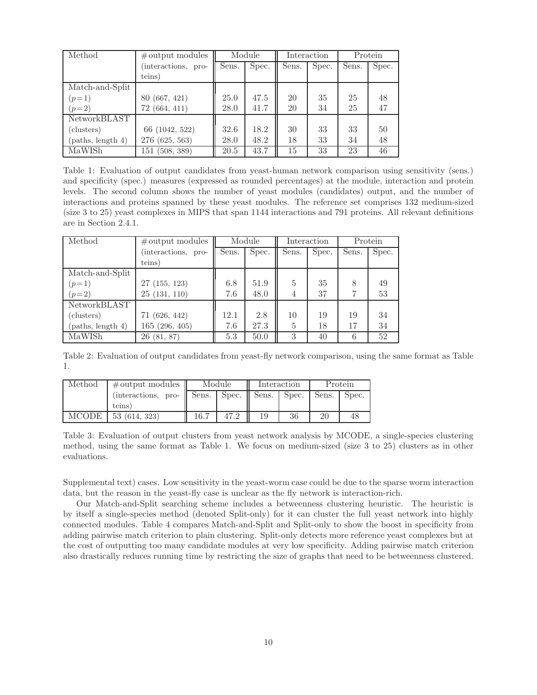| Method            | $\#$ output modules | Module |       | Interaction |       | Protein |       |
|-------------------|---------------------|--------|-------|-------------|-------|---------|-------|
|                   | (interactions, pro- | Sens.  | Spec. | Sens.       | Spec. | Sens.   | Spec. |
|                   | teins)              |        |       |             |       |         |       |
| Match-and-Split   |                     |        |       |             |       |         |       |
| $(p=1)$           | 80 (667, 421)       | 25.0   | 47.5  | 20          | 35    | 25      | 48    |
| $(p=2)$           | (664, 411)<br>72.   | 28.0   | 41.7  | 20          | 34    | 25      | 47    |
| NetworkBLAST      |                     |        |       |             |       |         |       |
| (clusters)        | 66 (1042, 522)      | 32.6   | 18.2  | 30          | 33    | 33      | 50    |
| (paths, length 4) | 276 (625, 563)      | 28.0   | 48.2  | 18          | 33    | 34      | 48    |
| MaWISh            | 151 (508, 389)      | 20.5   | 43.7  | 15          | 33    | 23      | 46    |

Table 1: Evaluation of output candidates from yeast-human network comparison using sensitivity (sens.) and specificity (spec.) measures (expressed as rounded percentages) at the module, interaction and protein levels. The second column shows the number of yeast modules (candidates) output, and the number of interactions and proteins spanned by these yeast modules. The reference set comprises 132 medium-sized (size 3 to 25) yeast complexes in MIPS that span 1144 interactions and 791 proteins. All relevant definitions are in Section 2.4.1.

| Method            | $\#$ output modules | Module |       | Interaction |       | Protein |       |
|-------------------|---------------------|--------|-------|-------------|-------|---------|-------|
|                   | interactions, pro-  | Sens.  | Spec. | Sens.       | Spec. | Sens.   | Spec. |
|                   | teins)              |        |       |             |       |         |       |
| Match-and-Split   |                     |        |       |             |       |         |       |
| $(p=1)$           | 27(155, 123)        | 6.8    | 51.9  | 5           | 35    | 8       | 49    |
| $(p=2)$           | 25(131, 110)        | 7.6    | 48.0  | 4           | 37    | 7       | 53    |
| NetworkBLAST      |                     |        |       |             |       |         |       |
| (clusters)        | 71(626, 442)        | 12.1   | 2.8   | 10          | 19    | 19      | 34    |
| (paths, length 4) | 165(296, 405)       | 7.6    | 27.3  | 5           | 18    | 17      | 34    |
| MaWISh            | 26(81, 87)          | 5.3    | 50.0  | 3           | 40    | 6       | 52    |

Table 2: Evaluation of output candidates from yeast-fly network comparison, using the same format as Table 1.

| Method | $\#$ output modules     | Module |                                | Interaction |    | Protein     |    |
|--------|-------------------------|--------|--------------------------------|-------------|----|-------------|----|
|        | (interactions, pro-     |        | Sens.   Spec.    Sens.   Spec. |             |    | Sens. Spec. |    |
|        | teins)                  |        |                                |             |    |             |    |
|        | $MCODE$   53 (614, 323) | 16.7   | 47.2                           | 19          | 36 | 20          | 48 |

Table 3: Evaluation of output clusters from yeast network analysis by MCODE, a single-species clustering method, using the same format as Table 1. We focus on medium-sized (size 3 to 25) clusters as in other evaluations.

Supplemental text) cases. Low sensitivity in the yeast-worm case could be due to the sparse worm interaction data, but the reason in the yeast-fly case is unclear as the fly network is interaction-rich.

Our Match-and-Split searching scheme includes a betweenness clustering heuristic. The heuristic is by itself a single-species method (denoted Split-only) for it can cluster the full yeast network into highly connected modules. Table 4 compares Match-and-Split and Split-only to show the boost in specificity from adding pairwise match criterion to plain clustering. Split-only detects more reference yeast complexes but at the cost of outputting too many candidate modules at very low specificity. Adding pairwise match criterion also drastically reduces running time by restricting the size of graphs that need to be betweenness clustered.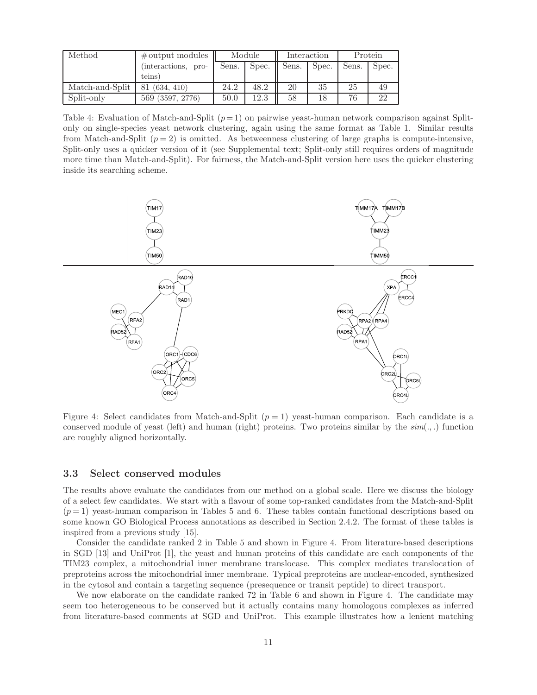| Method          | $\#$ output modules $\ $ | Module |       | Interaction |       | Protein |       |
|-----------------|--------------------------|--------|-------|-------------|-------|---------|-------|
|                 | (interactions, pro-      | Sens.  | Spec. | Sens.       | Spec. | Sens.   | Spec. |
|                 | teins)                   |        |       |             |       |         |       |
| Match-and-Split | 81<br>(634, 410)         | 24.2   | 48.2  | 20          | 35    | 25      | 49    |
| Split-only      | 569 (3597, 2776)         | 50.0   | 12.3  | 58          | 18    | 76      | 99    |

Table 4: Evaluation of Match-and-Split  $(p=1)$  on pairwise yeast-human network comparison against Splitonly on single-species yeast network clustering, again using the same format as Table 1. Similar results from Match-and-Split  $(p = 2)$  is omitted. As betweenness clustering of large graphs is compute-intensive, Split-only uses a quicker version of it (see Supplemental text; Split-only still requires orders of magnitude more time than Match-and-Split). For fairness, the Match-and-Split version here uses the quicker clustering inside its searching scheme.



Figure 4: Select candidates from Match-and-Split  $(p = 1)$  yeast-human comparison. Each candidate is a conserved module of yeast (left) and human (right) proteins. Two proteins similar by the *sim*(., .) function are roughly aligned horizontally.

#### 3.3 Select conserved modules

The results above evaluate the candidates from our method on a global scale. Here we discuss the biology of a select few candidates. We start with a flavour of some top-ranked candidates from the Match-and-Split  $(p=1)$  yeast-human comparison in Tables 5 and 6. These tables contain functional descriptions based on some known GO Biological Process annotations as described in Section 2.4.2. The format of these tables is inspired from a previous study [15].

Consider the candidate ranked 2 in Table 5 and shown in Figure 4. From literature-based descriptions in SGD [13] and UniProt [1], the yeast and human proteins of this candidate are each components of the TIM23 complex, a mitochondrial inner membrane translocase. This complex mediates translocation of preproteins across the mitochondrial inner membrane. Typical preproteins are nuclear-encoded, synthesized in the cytosol and contain a targeting sequence (presequence or transit peptide) to direct transport.

We now elaborate on the candidate ranked 72 in Table 6 and shown in Figure 4. The candidate may seem too heterogeneous to be conserved but it actually contains many homologous complexes as inferred from literature-based comments at SGD and UniProt. This example illustrates how a lenient matching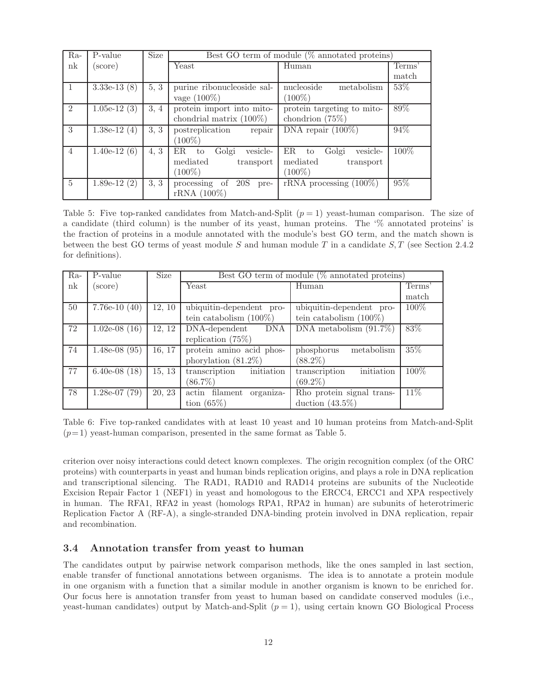| R <sub>a</sub> - | P-value        | Size |                                     | Best GO term of module $(\%$ annotated proteins) |        |  |  |
|------------------|----------------|------|-------------------------------------|--------------------------------------------------|--------|--|--|
| nk               | (score)        |      | Yeast                               | Human                                            | Terms' |  |  |
|                  |                |      |                                     |                                                  | match  |  |  |
| $\mathbf{1}$     | 3.33e-13 $(8)$ | 5.3  | purine ribonucleoside sal-          | nucleoside<br>metabolism                         | 53%    |  |  |
|                  |                |      | vage $(100\%)$                      | $(100\%)$                                        |        |  |  |
| $\mathfrak{D}$   | $1.05e-12(3)$  | 3, 4 | protein import into mito-           | protein targeting to mito-                       | 89%    |  |  |
|                  |                |      | chondrial matrix $(100\%)$          | chondrion $(75%)$                                |        |  |  |
| $\mathcal{S}$    | $1.38e-12(4)$  | 3.3  | postreplication<br>repair           | $DNA$ repair $(100\%)$                           | 94%    |  |  |
|                  |                |      | $(100\%)$                           |                                                  |        |  |  |
| $\overline{4}$   | 1.40e-12 $(6)$ | 4, 3 | vesicle-<br>Golgi<br>ER.<br>to      | Golgi<br>vesicle-<br>ER<br>to                    | 100%   |  |  |
|                  |                |      | mediated<br>transport               | mediated<br>transport                            |        |  |  |
|                  |                |      | $(100\%)$                           | $(100\%)$                                        |        |  |  |
| $\overline{5}$   | $1.89e-12(2)$  | 3, 3 | processing of<br><b>20S</b><br>pre- | $rRNA$ processing $(100\%)$                      | 95%    |  |  |
|                  |                |      | rRNA(100%)                          |                                                  |        |  |  |

Table 5: Five top-ranked candidates from Match-and-Split  $(p = 1)$  yeast-human comparison. The size of a candidate (third column) is the number of its yeast, human proteins. The '% annotated proteins' is the fraction of proteins in a module annotated with the module's best GO term, and the match shown is between the best GO terms of yeast module S and human module T in a candidate  $S, T$  (see Section 2.4.2) for definitions).

| Ra- | P-value         | Size   | Best GO term of module $(\%$ annotated proteins) |                             |        |  |
|-----|-----------------|--------|--------------------------------------------------|-----------------------------|--------|--|
| nk  | (score)         |        | Yeast                                            | Human                       | Terms' |  |
|     |                 |        |                                                  |                             | match  |  |
| 50  | $7.76e-10(40)$  | 12, 10 | ubiquitin-dependent pro-                         | ubiquitin-dependent pro-    | 100%   |  |
|     |                 |        | tein catabolism $(100\%)$                        | tein catabolism $(100\%)$   |        |  |
| 72  | $1.02e-08(16)$  | 12, 12 | $\overline{DNA}$ -dependent<br><b>DNA</b>        | DNA metabolism $(91.7\%)$   | 83%    |  |
|     |                 |        | replication $(75%)$                              |                             |        |  |
| 74  | $1.48e-08(95)$  | 16, 17 | protein amino acid phos-                         | phosphorus<br>metabolism    | 35\%   |  |
|     |                 |        | phorylation $(81.2\%)$                           | $(88.2\%)$                  |        |  |
| 77  | 6.40e-08 $(18)$ | 15, 13 | initiation<br>transcription                      | initiation<br>transcription | 100\%  |  |
|     |                 |        | $(86.7\%)$                                       | $(69.2\%)$                  |        |  |
| 78  | $1.28e-07(79)$  | 20, 23 | organiza-<br>filament<br>actin                   | Rho protein signal trans-   | 11\%   |  |
|     |                 |        | tion $(65\%)$                                    | duction $(43.5\%)$          |        |  |

Table 6: Five top-ranked candidates with at least 10 yeast and 10 human proteins from Match-and-Split  $(p=1)$  yeast-human comparison, presented in the same format as Table 5.

criterion over noisy interactions could detect known complexes. The origin recognition complex (of the ORC proteins) with counterparts in yeast and human binds replication origins, and plays a role in DNA replication and transcriptional silencing. The RAD1, RAD10 and RAD14 proteins are subunits of the Nucleotide Excision Repair Factor 1 (NEF1) in yeast and homologous to the ERCC4, ERCC1 and XPA respectively in human. The RFA1, RFA2 in yeast (homologs RPA1, RPA2 in human) are subunits of heterotrimeric Replication Factor A (RF-A), a single-stranded DNA-binding protein involved in DNA replication, repair and recombination.

### 3.4 Annotation transfer from yeast to human

The candidates output by pairwise network comparison methods, like the ones sampled in last section, enable transfer of functional annotations between organisms. The idea is to annotate a protein module in one organism with a function that a similar module in another organism is known to be enriched for. Our focus here is annotation transfer from yeast to human based on candidate conserved modules (i.e., yeast-human candidates) output by Match-and-Split  $(p = 1)$ , using certain known GO Biological Process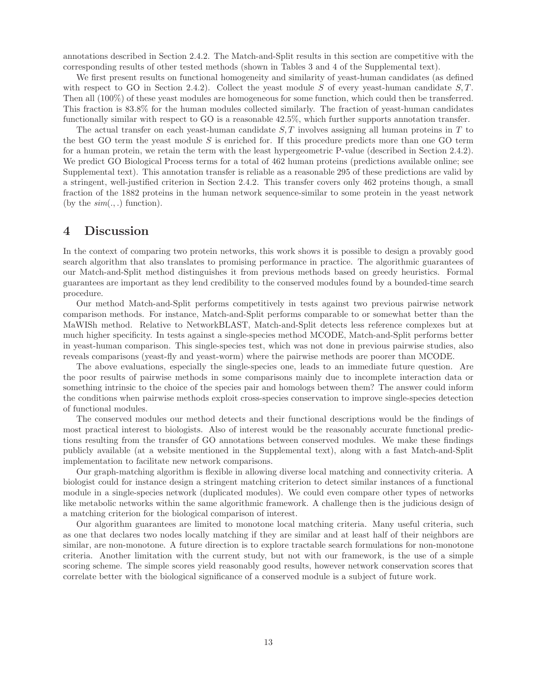annotations described in Section 2.4.2. The Match-and-Split results in this section are competitive with the corresponding results of other tested methods (shown in Tables 3 and 4 of the Supplemental text).

We first present results on functional homogeneity and similarity of yeast-human candidates (as defined with respect to GO in Section 2.4.2). Collect the yeast module S of every yeast-human candidate  $S, T$ . Then all (100%) of these yeast modules are homogeneous for some function, which could then be transferred. This fraction is 83.8% for the human modules collected similarly. The fraction of yeast-human candidates functionally similar with respect to GO is a reasonable 42.5%, which further supports annotation transfer.

The actual transfer on each yeast-human candidate  $S$ , T involves assigning all human proteins in T to the best GO term the yeast module  $S$  is enriched for. If this procedure predicts more than one GO term for a human protein, we retain the term with the least hypergeometric P-value (described in Section 2.4.2). We predict GO Biological Process terms for a total of 462 human proteins (predictions available online; see Supplemental text). This annotation transfer is reliable as a reasonable 295 of these predictions are valid by a stringent, well-justified criterion in Section 2.4.2. This transfer covers only 462 proteins though, a small fraction of the 1882 proteins in the human network sequence-similar to some protein in the yeast network (by the  $sim(.,.)$  function).

# 4 Discussion

In the context of comparing two protein networks, this work shows it is possible to design a provably good search algorithm that also translates to promising performance in practice. The algorithmic guarantees of our Match-and-Split method distinguishes it from previous methods based on greedy heuristics. Formal guarantees are important as they lend credibility to the conserved modules found by a bounded-time search procedure.

Our method Match-and-Split performs competitively in tests against two previous pairwise network comparison methods. For instance, Match-and-Split performs comparable to or somewhat better than the MaWISh method. Relative to NetworkBLAST, Match-and-Split detects less reference complexes but at much higher specificity. In tests against a single-species method MCODE, Match-and-Split performs better in yeast-human comparison. This single-species test, which was not done in previous pairwise studies, also reveals comparisons (yeast-fly and yeast-worm) where the pairwise methods are poorer than MCODE.

The above evaluations, especially the single-species one, leads to an immediate future question. Are the poor results of pairwise methods in some comparisons mainly due to incomplete interaction data or something intrinsic to the choice of the species pair and homologs between them? The answer could inform the conditions when pairwise methods exploit cross-species conservation to improve single-species detection of functional modules.

The conserved modules our method detects and their functional descriptions would be the findings of most practical interest to biologists. Also of interest would be the reasonably accurate functional predictions resulting from the transfer of GO annotations between conserved modules. We make these findings publicly available (at a website mentioned in the Supplemental text), along with a fast Match-and-Split implementation to facilitate new network comparisons.

Our graph-matching algorithm is flexible in allowing diverse local matching and connectivity criteria. A biologist could for instance design a stringent matching criterion to detect similar instances of a functional module in a single-species network (duplicated modules). We could even compare other types of networks like metabolic networks within the same algorithmic framework. A challenge then is the judicious design of a matching criterion for the biological comparison of interest.

Our algorithm guarantees are limited to monotone local matching criteria. Many useful criteria, such as one that declares two nodes locally matching if they are similar and at least half of their neighbors are similar, are non-monotone. A future direction is to explore tractable search formulations for non-monotone criteria. Another limitation with the current study, but not with our framework, is the use of a simple scoring scheme. The simple scores yield reasonably good results, however network conservation scores that correlate better with the biological significance of a conserved module is a subject of future work.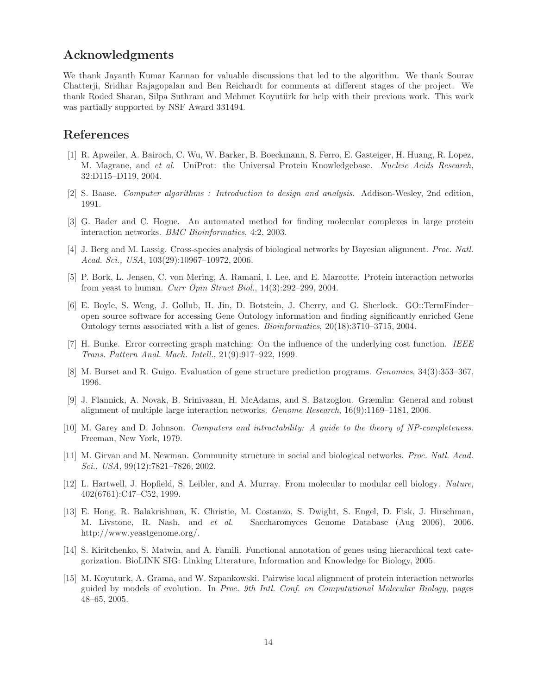# Acknowledgments

We thank Jayanth Kumar Kannan for valuable discussions that led to the algorithm. We thank Sourav Chatterji, Sridhar Rajagopalan and Ben Reichardt for comments at different stages of the project. We thank Roded Sharan, Silpa Suthram and Mehmet Koyutürk for help with their previous work. This work was partially supported by NSF Award 331494.

# References

- [1] R. Apweiler, A. Bairoch, C. Wu, W. Barker, B. Boeckmann, S. Ferro, E. Gasteiger, H. Huang, R. Lopez, M. Magrane, and *et al.* UniProt: the Universal Protein Knowledgebase. *Nucleic Acids Research*, 32:D115–D119, 2004.
- [2] S. Baase. *Computer algorithms : Introduction to design and analysis*. Addison-Wesley, 2nd edition, 1991.
- [3] G. Bader and C. Hogue. An automated method for finding molecular complexes in large protein interaction networks. *BMC Bioinformatics*, 4:2, 2003.
- [4] J. Berg and M. Lassig. Cross-species analysis of biological networks by Bayesian alignment. *Proc. Natl. Acad. Sci., USA*, 103(29):10967–10972, 2006.
- [5] P. Bork, L. Jensen, C. von Mering, A. Ramani, I. Lee, and E. Marcotte. Protein interaction networks from yeast to human. *Curr Opin Struct Biol.*, 14(3):292–299, 2004.
- [6] E. Boyle, S. Weng, J. Gollub, H. Jin, D. Botstein, J. Cherry, and G. Sherlock. GO::TermFinder– open source software for accessing Gene Ontology information and finding significantly enriched Gene Ontology terms associated with a list of genes. *Bioinformatics*, 20(18):3710–3715, 2004.
- [7] H. Bunke. Error correcting graph matching: On the influence of the underlying cost function. *IEEE Trans. Pattern Anal. Mach. Intell.*, 21(9):917–922, 1999.
- [8] M. Burset and R. Guigo. Evaluation of gene structure prediction programs. *Genomics*, 34(3):353–367, 1996.
- [9] J. Flannick, A. Novak, B. Srinivasan, H. McAdams, and S. Batzoglou. Græmlin: General and robust alignment of multiple large interaction networks. *Genome Research*, 16(9):1169–1181, 2006.
- [10] M. Garey and D. Johnson. *Computers and intractability: A guide to the theory of NP-completeness*. Freeman, New York, 1979.
- [11] M. Girvan and M. Newman. Community structure in social and biological networks. *Proc. Natl. Acad. Sci., USA*, 99(12):7821–7826, 2002.
- [12] L. Hartwell, J. Hopfield, S. Leibler, and A. Murray. From molecular to modular cell biology. *Nature*, 402(6761):C47–C52, 1999.
- [13] E. Hong, R. Balakrishnan, K. Christie, M. Costanzo, S. Dwight, S. Engel, D. Fisk, J. Hirschman, M. Livstone, R. Nash, and *et al.* Saccharomyces Genome Database (Aug 2006), 2006. http://www.yeastgenome.org/.
- [14] S. Kiritchenko, S. Matwin, and A. Famili. Functional annotation of genes using hierarchical text categorization. BioLINK SIG: Linking Literature, Information and Knowledge for Biology, 2005.
- [15] M. Koyuturk, A. Grama, and W. Szpankowski. Pairwise local alignment of protein interaction networks guided by models of evolution. In *Proc. 9th Intl. Conf. on Computational Molecular Biology*, pages 48–65, 2005.